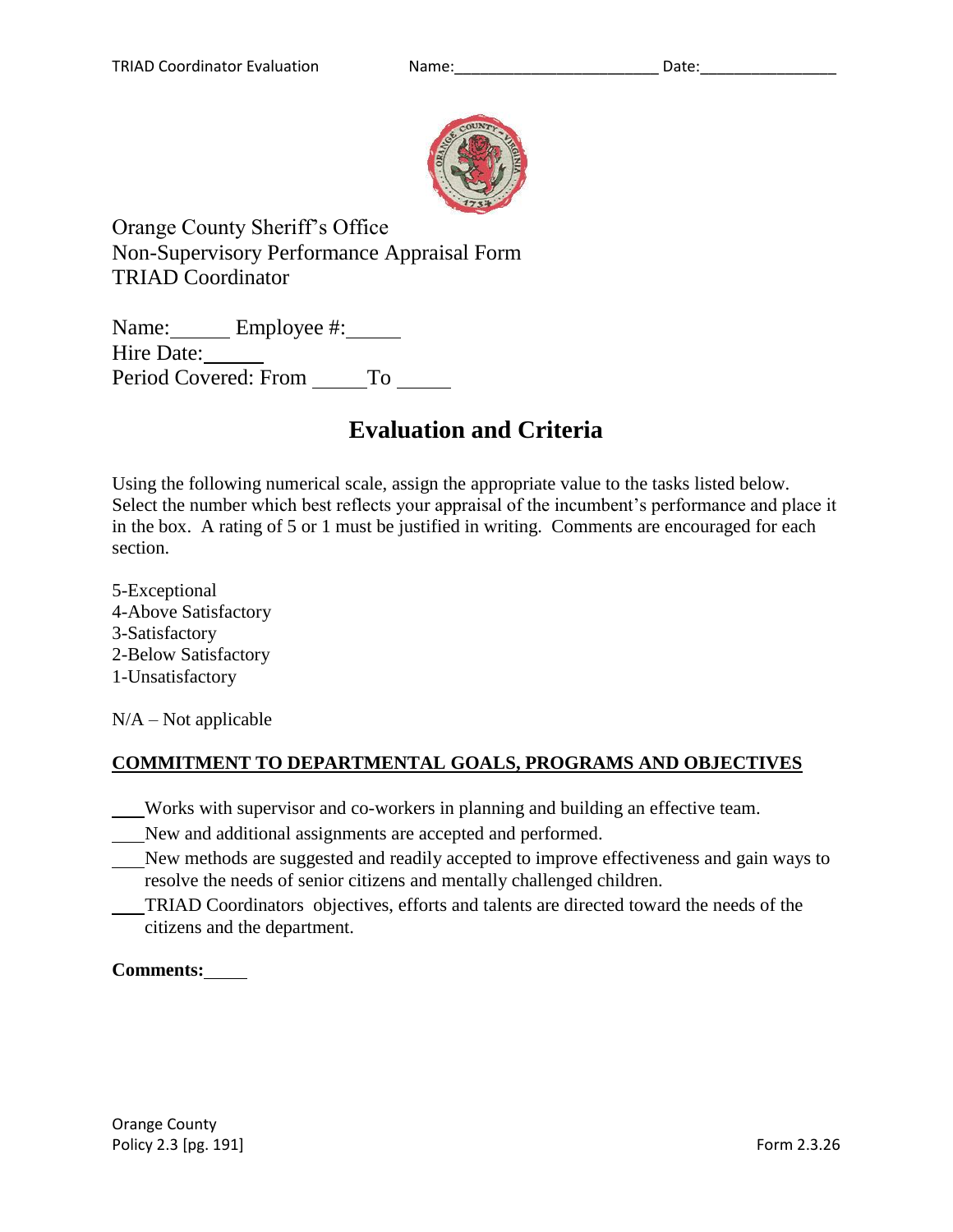

Orange County Sheriff's Office Non-Supervisory Performance Appraisal Form TRIAD Coordinator

Name: Employee #: Hire Date: Period Covered: From \_\_\_\_\_\_\_ To \_\_\_\_\_

# **Evaluation and Criteria**

Using the following numerical scale, assign the appropriate value to the tasks listed below. Select the number which best reflects your appraisal of the incumbent's performance and place it in the box. A rating of 5 or 1 must be justified in writing. Comments are encouraged for each section.

5-Exceptional 4-Above Satisfactory 3-Satisfactory 2-Below Satisfactory 1-Unsatisfactory

 $N/A - Not$  applicable

# **COMMITMENT TO DEPARTMENTAL GOALS, PROGRAMS AND OBJECTIVES**

Works with supervisor and co-workers in planning and building an effective team.

- New and additional assignments are accepted and performed.
- New methods are suggested and readily accepted to improve effectiveness and gain ways to resolve the needs of senior citizens and mentally challenged children.
- TRIAD Coordinators objectives, efforts and talents are directed toward the needs of the citizens and the department.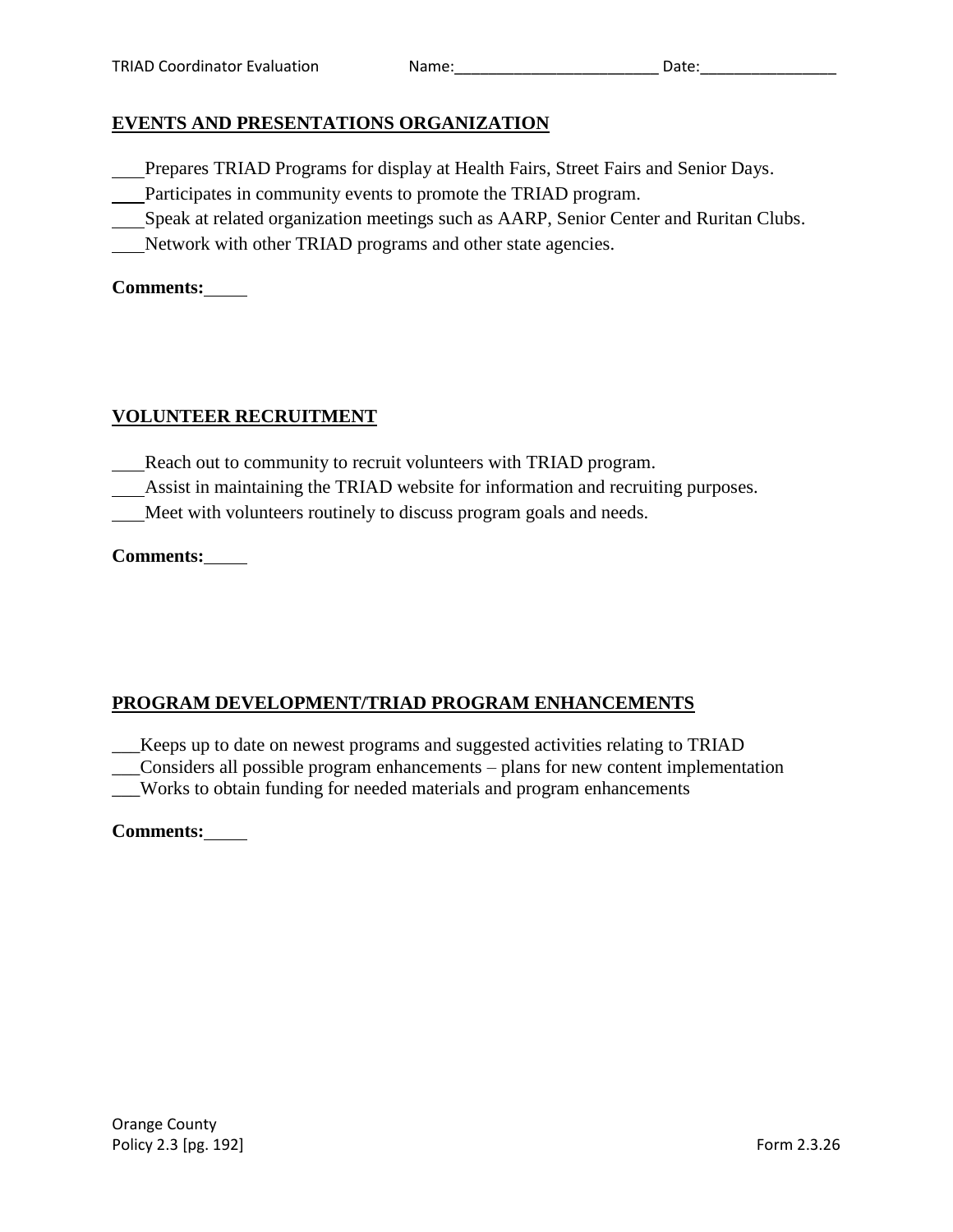# **EVENTS AND PRESENTATIONS ORGANIZATION**

- Prepares TRIAD Programs for display at Health Fairs, Street Fairs and Senior Days.
- Participates in community events to promote the TRIAD program.
- Speak at related organization meetings such as AARP, Senior Center and Ruritan Clubs.
- Network with other TRIAD programs and other state agencies.

## **Comments:**

# **VOLUNTEER RECRUITMENT**

- Reach out to community to recruit volunteers with TRIAD program.
- Assist in maintaining the TRIAD website for information and recruiting purposes.
- Meet with volunteers routinely to discuss program goals and needs.

# **Comments:**

# **PROGRAM DEVELOPMENT/TRIAD PROGRAM ENHANCEMENTS**

\_\_\_Keeps up to date on newest programs and suggested activities relating to TRIAD \_\_\_Considers all possible program enhancements – plans for new content implementation \_\_\_Works to obtain funding for needed materials and program enhancements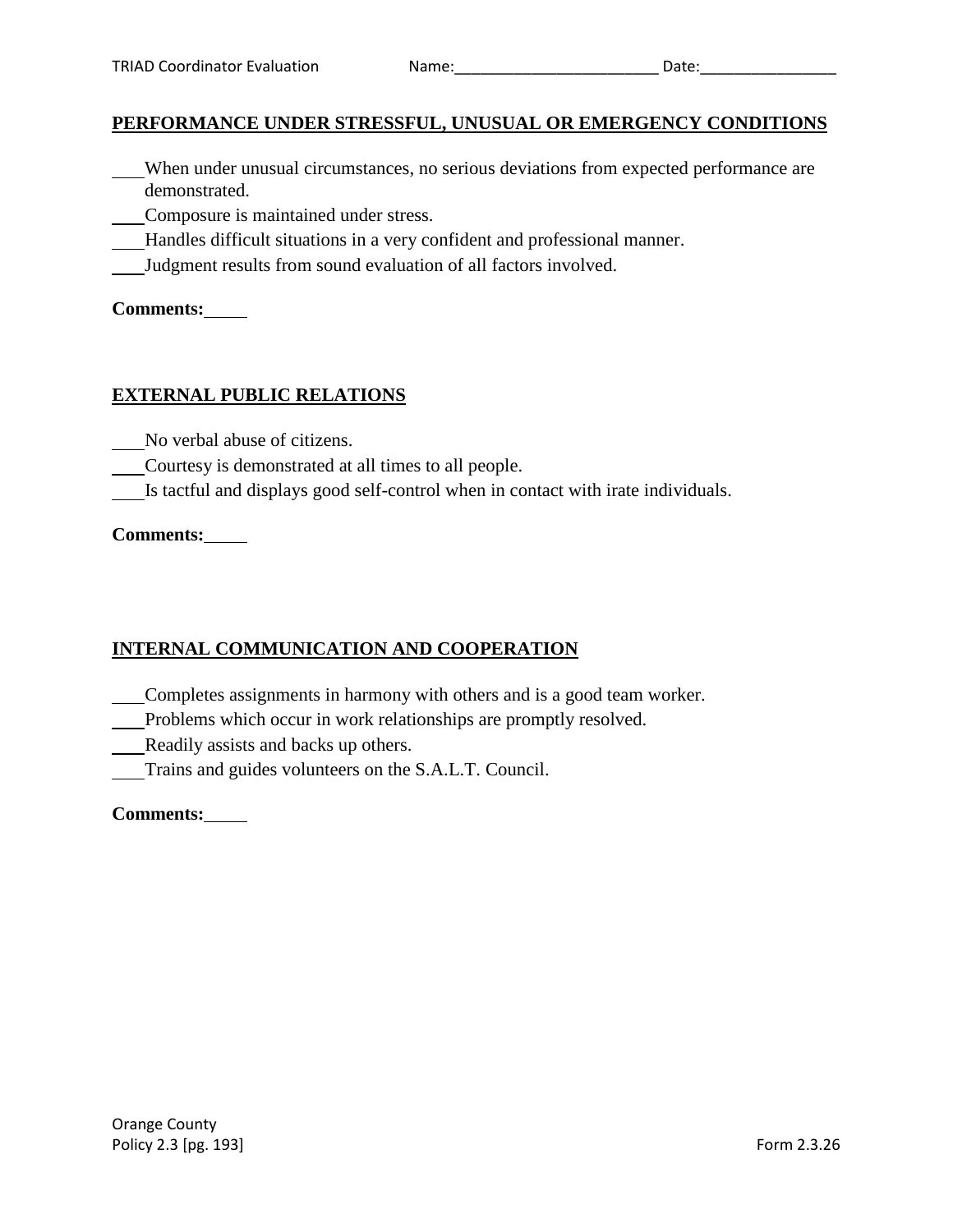#### **PERFORMANCE UNDER STRESSFUL, UNUSUAL OR EMERGENCY CONDITIONS**

- When under unusual circumstances, no serious deviations from expected performance are demonstrated.
- Composure is maintained under stress.
- Handles difficult situations in a very confident and professional manner.
- Judgment results from sound evaluation of all factors involved.

**Comments:**

#### **EXTERNAL PUBLIC RELATIONS**

- No verbal abuse of citizens.
- Courtesy is demonstrated at all times to all people.
- Is tactful and displays good self-control when in contact with irate individuals.

#### **Comments:**

## **INTERNAL COMMUNICATION AND COOPERATION**

- Completes assignments in harmony with others and is a good team worker.
- Problems which occur in work relationships are promptly resolved.
- Readily assists and backs up others.
- Trains and guides volunteers on the S.A.L.T. Council.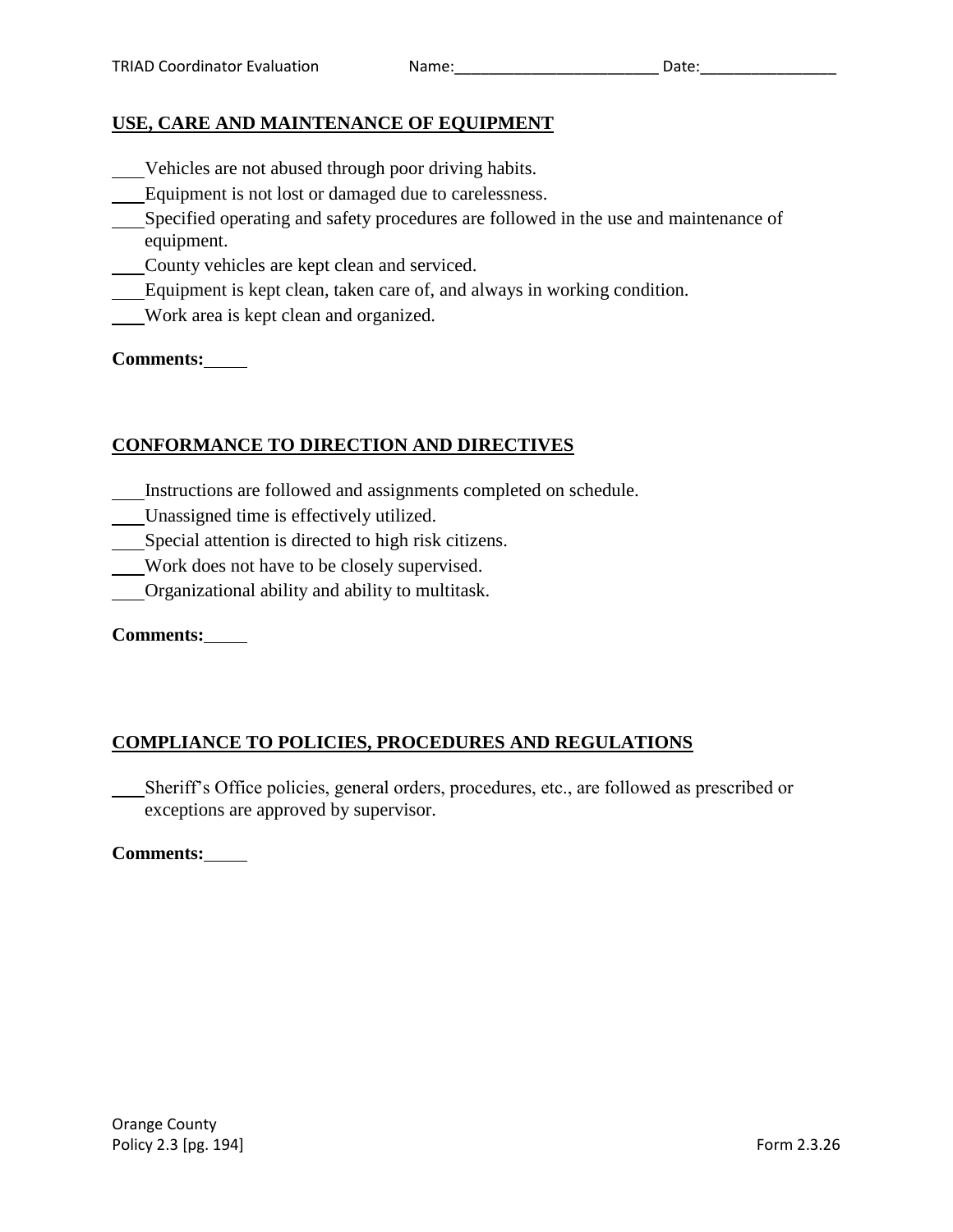## **USE, CARE AND MAINTENANCE OF EQUIPMENT**

- Vehicles are not abused through poor driving habits.
- Equipment is not lost or damaged due to carelessness.
- Specified operating and safety procedures are followed in the use and maintenance of equipment.
- County vehicles are kept clean and serviced.
- Equipment is kept clean, taken care of, and always in working condition.
- Work area is kept clean and organized.

**Comments:**

# **CONFORMANCE TO DIRECTION AND DIRECTIVES**

- Instructions are followed and assignments completed on schedule.
- Unassigned time is effectively utilized.
- Special attention is directed to high risk citizens.
- Work does not have to be closely supervised.
- Organizational ability and ability to multitask.

**Comments:**

# **COMPLIANCE TO POLICIES, PROCEDURES AND REGULATIONS**

Sheriff's Office policies, general orders, procedures, etc., are followed as prescribed or exceptions are approved by supervisor.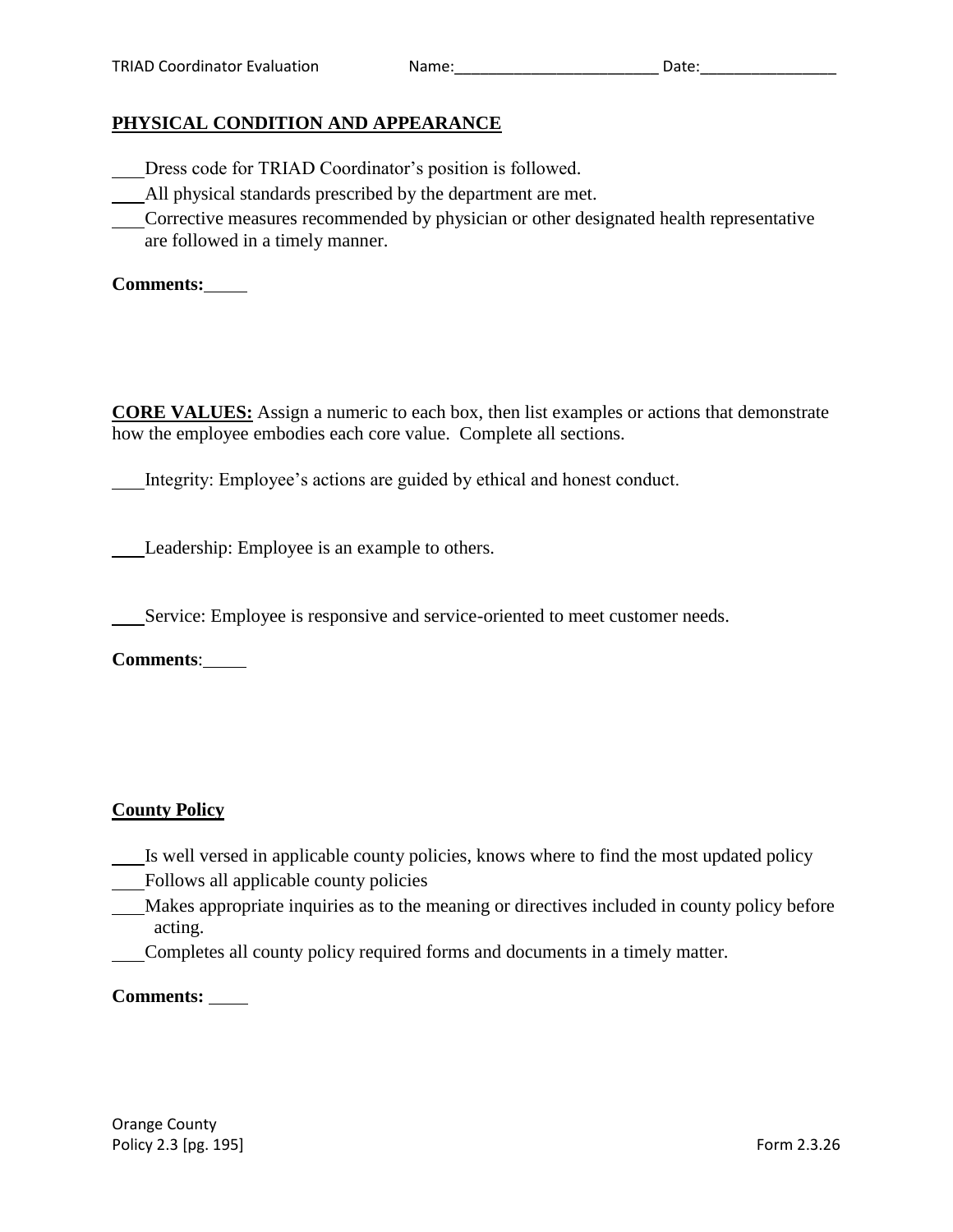# **PHYSICAL CONDITION AND APPEARANCE**

- Dress code for TRIAD Coordinator's position is followed.
- All physical standards prescribed by the department are met.
- Corrective measures recommended by physician or other designated health representative are followed in a timely manner.

**Comments:**

**CORE VALUES:** Assign a numeric to each box, then list examples or actions that demonstrate how the employee embodies each core value. Complete all sections.

Integrity: Employee's actions are guided by ethical and honest conduct.

Leadership: Employee is an example to others.

Service: Employee is responsive and service-oriented to meet customer needs.

**Comments**:

## **County Policy**

- Is well versed in applicable county policies, knows where to find the most updated policy
- Follows all applicable county policies
- Makes appropriate inquiries as to the meaning or directives included in county policy before acting.
- Completes all county policy required forms and documents in a timely matter.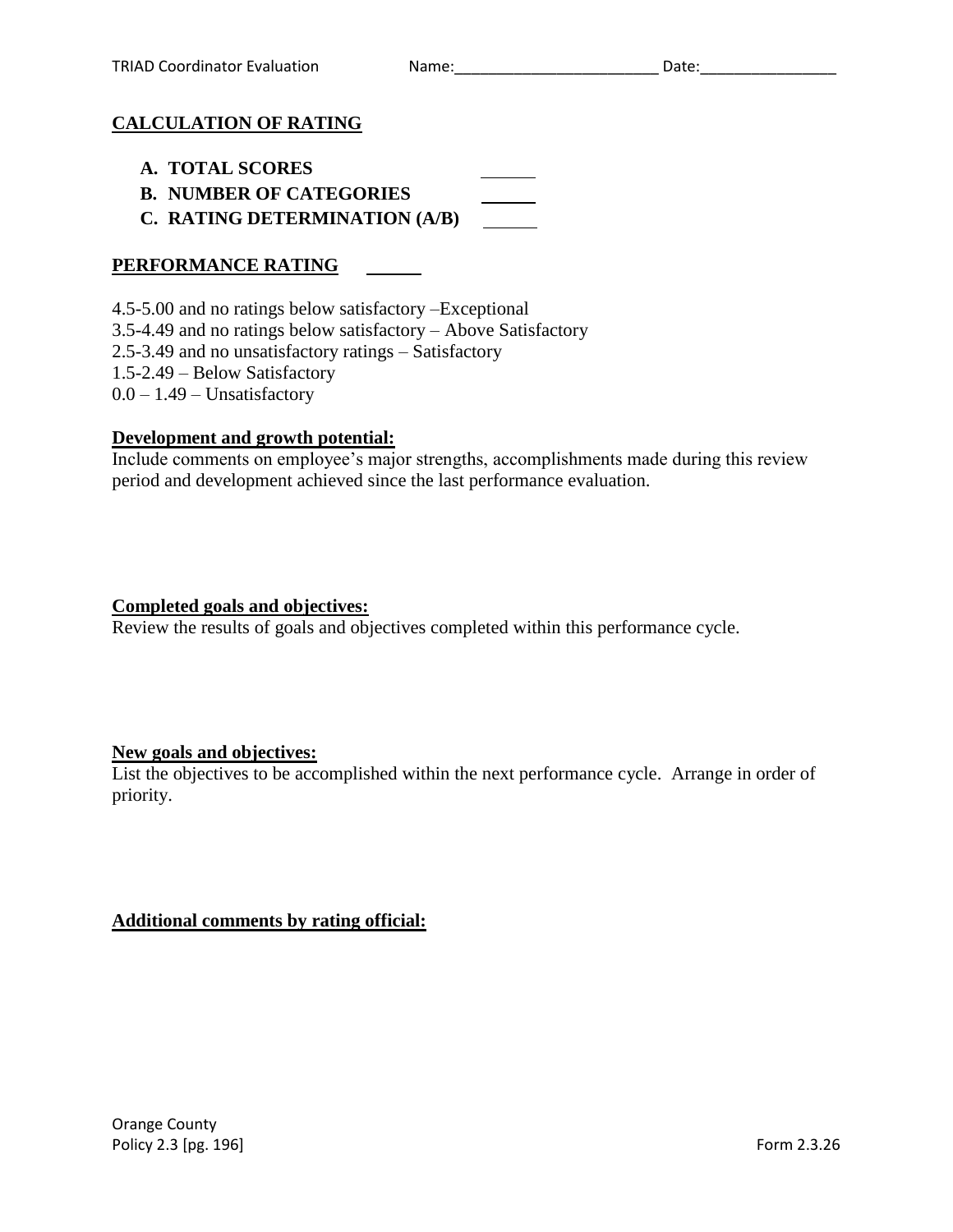# **CALCULATION OF RATING**

- **A. TOTAL SCORES**
- **B. NUMBER OF CATEGORIES**
- **C. RATING DETERMINATION (A/B)**

# **PERFORMANCE RATING**

4.5-5.00 and no ratings below satisfactory –Exceptional 3.5-4.49 and no ratings below satisfactory – Above Satisfactory 2.5-3.49 and no unsatisfactory ratings – Satisfactory 1.5-2.49 – Below Satisfactory  $0.0 - 1.49$  – Unsatisfactory

## **Development and growth potential:**

Include comments on employee's major strengths, accomplishments made during this review period and development achieved since the last performance evaluation.

#### **Completed goals and objectives:**

Review the results of goals and objectives completed within this performance cycle.

## **New goals and objectives:**

List the objectives to be accomplished within the next performance cycle. Arrange in order of priority.

## **Additional comments by rating official:**